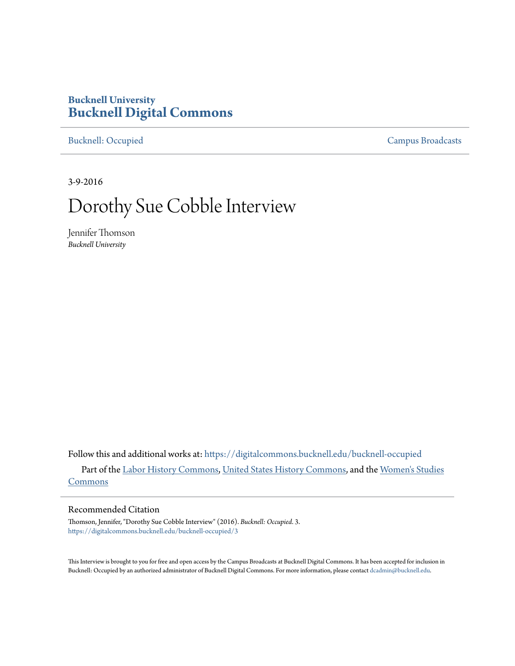## **Bucknell University [Bucknell Digital Commons](https://digitalcommons.bucknell.edu?utm_source=digitalcommons.bucknell.edu%2Fbucknell-occupied%2F3&utm_medium=PDF&utm_campaign=PDFCoverPages)**

[Bucknell: Occupied](https://digitalcommons.bucknell.edu/bucknell-occupied?utm_source=digitalcommons.bucknell.edu%2Fbucknell-occupied%2F3&utm_medium=PDF&utm_campaign=PDFCoverPages) [Campus Broadcasts](https://digitalcommons.bucknell.edu/campus-broadcasts?utm_source=digitalcommons.bucknell.edu%2Fbucknell-occupied%2F3&utm_medium=PDF&utm_campaign=PDFCoverPages)

3-9-2016

# Dorothy Sue Cobble Interview

Jennifer Thomson *Bucknell University*

Follow this and additional works at: [https://digitalcommons.bucknell.edu/bucknell-occupied](https://digitalcommons.bucknell.edu/bucknell-occupied?utm_source=digitalcommons.bucknell.edu%2Fbucknell-occupied%2F3&utm_medium=PDF&utm_campaign=PDFCoverPages) Part of the [Labor History Commons,](http://network.bepress.com/hgg/discipline/1254?utm_source=digitalcommons.bucknell.edu%2Fbucknell-occupied%2F3&utm_medium=PDF&utm_campaign=PDFCoverPages) [United States History Commons](http://network.bepress.com/hgg/discipline/495?utm_source=digitalcommons.bucknell.edu%2Fbucknell-occupied%2F3&utm_medium=PDF&utm_campaign=PDFCoverPages), and the [Women's Studies](http://network.bepress.com/hgg/discipline/561?utm_source=digitalcommons.bucknell.edu%2Fbucknell-occupied%2F3&utm_medium=PDF&utm_campaign=PDFCoverPages) [Commons](http://network.bepress.com/hgg/discipline/561?utm_source=digitalcommons.bucknell.edu%2Fbucknell-occupied%2F3&utm_medium=PDF&utm_campaign=PDFCoverPages)

#### Recommended Citation

Thomson, Jennifer, "Dorothy Sue Cobble Interview" (2016). *Bucknell: Occupied*. 3. [https://digitalcommons.bucknell.edu/bucknell-occupied/3](https://digitalcommons.bucknell.edu/bucknell-occupied/3?utm_source=digitalcommons.bucknell.edu%2Fbucknell-occupied%2F3&utm_medium=PDF&utm_campaign=PDFCoverPages)

This Interview is brought to you for free and open access by the Campus Broadcasts at Bucknell Digital Commons. It has been accepted for inclusion in Bucknell: Occupied by an authorized administrator of Bucknell Digital Commons. For more information, please contact [dcadmin@bucknell.edu](mailto:dcadmin@bucknell.edu).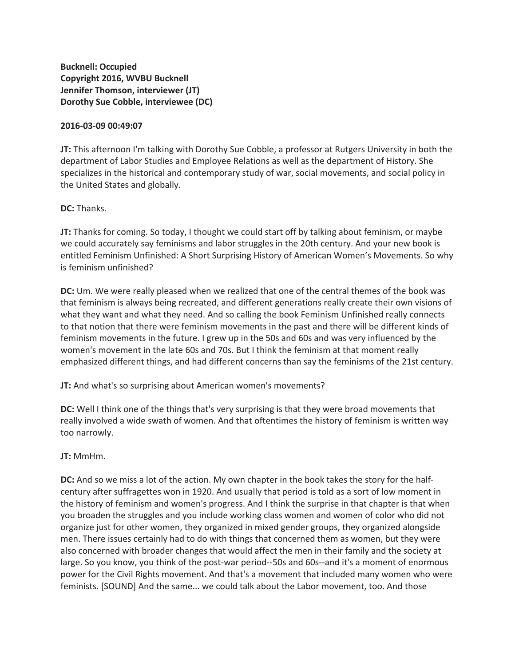**Bucknell: Occupied Copyright 2016, WVBU Bucknell Jennifer Thomson, interviewer (JT) Dorothy Sue Cobble, interviewee (DC)**

#### **2016-03-09 00:49:07**

**JT:** This afternoon I'm talking with Dorothy Sue Cobble, a professor at Rutgers University in both the department of Labor Studies and Employee Relations as well as the department of History. She specializes in the historical and contemporary study of war, social movements, and social policy in the United States and globally.

**DC:** Thanks.

**JT:** Thanks for coming. So today, I thought we could start off by talking about feminism, or maybe we could accurately say feminisms and labor struggles in the 20th century. And your new book is entitled Feminism Unfinished: A Short Surprising History of American Women's Movements. So why is feminism unfinished?

**DC:** Um. We were really pleased when we realized that one of the central themes of the book was that feminism is always being recreated, and different generations really create their own visions of what they want and what they need. And so calling the book Feminism Unfinished really connects to that notion that there were feminism movements in the past and there will be different kinds of feminism movements in the future. I grew up in the 50s and 60s and was very influenced by the women's movement in the late 60s and 70s. But I think the feminism at that moment really emphasized different things, and had different concerns than say the feminisms of the 21st century.

**JT:** And what's so surprising about American women's movements?

**DC:** Well I think one of the things that's very surprising is that they were broad movements that really involved a wide swath of women. And that oftentimes the history of feminism is written way too narrowly.

**JT:** MmHm.

**DC:** And so we miss a lot of the action. My own chapter in the book takes the story for the halfcentury after suffragettes won in 1920. And usually that period is told as a sort of low moment in the history of feminism and women's progress. And I think the surprise in that chapter is that when you broaden the struggles and you include working class women and women of color who did not organize just for other women, they organized in mixed gender groups, they organized alongside men. There issues certainly had to do with things that concerned them as women, but they were also concerned with broader changes that would affect the men in their family and the society at large. So you know, you think of the post-war period--50s and 60s--and it's a moment of enormous power for the Civil Rights movement. And that's a movement that included many women who were feminists. [SOUND] And the same... we could talk about the Labor movement, too. And those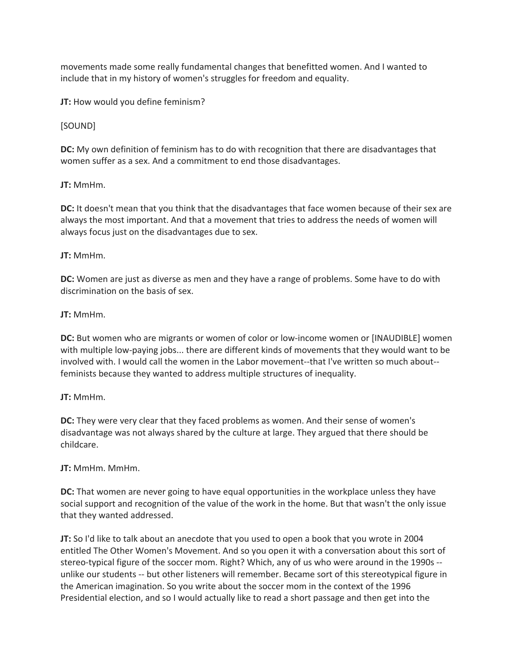movements made some really fundamental changes that benefitted women. And I wanted to include that in my history of women's struggles for freedom and equality.

**JT:** How would you define feminism?

## [SOUND]

**DC:** My own definition of feminism has to do with recognition that there are disadvantages that women suffer as a sex. And a commitment to end those disadvantages.

## **JT:** MmHm.

**DC:** It doesn't mean that you think that the disadvantages that face women because of their sex are always the most important. And that a movement that tries to address the needs of women will always focus just on the disadvantages due to sex.

## **JT:** MmHm.

**DC:** Women are just as diverse as men and they have a range of problems. Some have to do with discrimination on the basis of sex.

## **JT:** MmHm.

**DC:** But women who are migrants or women of color or low-income women or [INAUDIBLE] women with multiple low-paying jobs... there are different kinds of movements that they would want to be involved with. I would call the women in the Labor movement--that I've written so much about- feminists because they wanted to address multiple structures of inequality.

## **JT:** MmHm.

**DC:** They were very clear that they faced problems as women. And their sense of women's disadvantage was not always shared by the culture at large. They argued that there should be childcare.

## **JT:** MmHm. MmHm.

**DC:** That women are never going to have equal opportunities in the workplace unless they have social support and recognition of the value of the work in the home. But that wasn't the only issue that they wanted addressed.

**JT:** So I'd like to talk about an anecdote that you used to open a book that you wrote in 2004 entitled The Other Women's Movement. And so you open it with a conversation about this sort of stereo-typical figure of the soccer mom. Right? Which, any of us who were around in the 1990s - unlike our students -- but other listeners will remember. Became sort of this stereotypical figure in the American imagination. So you write about the soccer mom in the context of the 1996 Presidential election, and so I would actually like to read a short passage and then get into the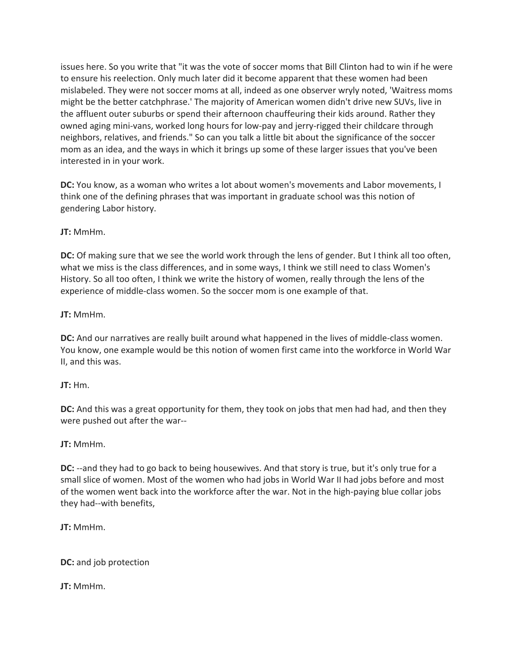issues here. So you write that "it was the vote of soccer moms that Bill Clinton had to win if he were to ensure his reelection. Only much later did it become apparent that these women had been mislabeled. They were not soccer moms at all, indeed as one observer wryly noted, 'Waitress moms might be the better catchphrase.' The majority of American women didn't drive new SUVs, live in the affluent outer suburbs or spend their afternoon chauffeuring their kids around. Rather they owned aging mini-vans, worked long hours for low-pay and jerry-rigged their childcare through neighbors, relatives, and friends." So can you talk a little bit about the significance of the soccer mom as an idea, and the ways in which it brings up some of these larger issues that you've been interested in in your work.

**DC:** You know, as a woman who writes a lot about women's movements and Labor movements, I think one of the defining phrases that was important in graduate school was this notion of gendering Labor history.

**JT:** MmHm.

**DC:** Of making sure that we see the world work through the lens of gender. But I think all too often, what we miss is the class differences, and in some ways, I think we still need to class Women's History. So all too often, I think we write the history of women, really through the lens of the experience of middle-class women. So the soccer mom is one example of that.

**JT:** MmHm.

**DC:** And our narratives are really built around what happened in the lives of middle-class women. You know, one example would be this notion of women first came into the workforce in World War II, and this was.

## **JT:** Hm.

**DC:** And this was a great opportunity for them, they took on jobs that men had had, and then they were pushed out after the war--

**JT:** MmHm.

**DC:** --and they had to go back to being housewives. And that story is true, but it's only true for a small slice of women. Most of the women who had jobs in World War II had jobs before and most of the women went back into the workforce after the war. Not in the high-paying blue collar jobs they had--with benefits,

**JT:** MmHm.

**DC:** and job protection

**JT:** MmHm.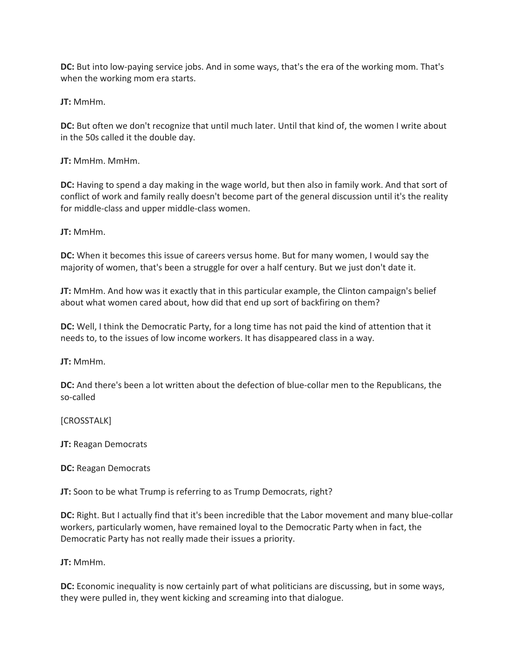**DC:** But into low-paying service jobs. And in some ways, that's the era of the working mom. That's when the working mom era starts.

**JT:** MmHm.

**DC:** But often we don't recognize that until much later. Until that kind of, the women I write about in the 50s called it the double day.

**JT:** MmHm. MmHm.

**DC:** Having to spend a day making in the wage world, but then also in family work. And that sort of conflict of work and family really doesn't become part of the general discussion until it's the reality for middle-class and upper middle-class women.

**JT:** MmHm.

**DC:** When it becomes this issue of careers versus home. But for many women, I would say the majority of women, that's been a struggle for over a half century. But we just don't date it.

**JT:** MmHm. And how was it exactly that in this particular example, the Clinton campaign's belief about what women cared about, how did that end up sort of backfiring on them?

**DC:** Well, I think the Democratic Party, for a long time has not paid the kind of attention that it needs to, to the issues of low income workers. It has disappeared class in a way.

**JT:** MmHm.

**DC:** And there's been a lot written about the defection of blue-collar men to the Republicans, the so-called

[CROSSTALK]

**JT:** Reagan Democrats

**DC:** Reagan Democrats

**JT:** Soon to be what Trump is referring to as Trump Democrats, right?

**DC:** Right. But I actually find that it's been incredible that the Labor movement and many blue-collar workers, particularly women, have remained loyal to the Democratic Party when in fact, the Democratic Party has not really made their issues a priority.

**JT:** MmHm.

**DC:** Economic inequality is now certainly part of what politicians are discussing, but in some ways, they were pulled in, they went kicking and screaming into that dialogue.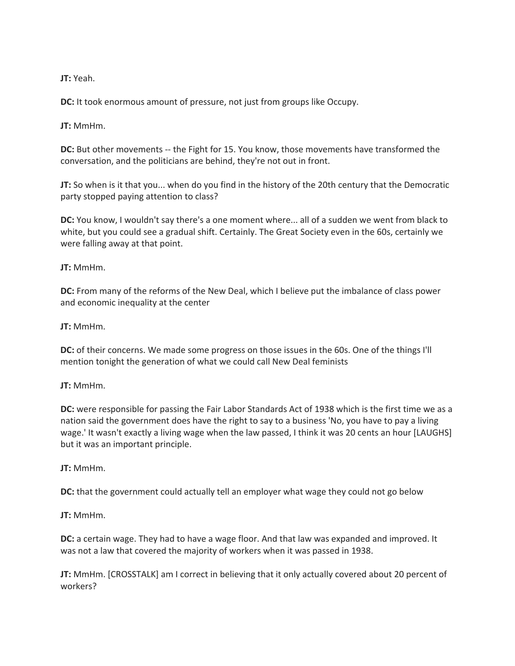**JT:** Yeah.

**DC:** It took enormous amount of pressure, not just from groups like Occupy.

**JT:** MmHm.

**DC:** But other movements -- the Fight for 15. You know, those movements have transformed the conversation, and the politicians are behind, they're not out in front.

**JT:** So when is it that you... when do you find in the history of the 20th century that the Democratic party stopped paying attention to class?

**DC:** You know, I wouldn't say there's a one moment where... all of a sudden we went from black to white, but you could see a gradual shift. Certainly. The Great Society even in the 60s, certainly we were falling away at that point.

**JT:** MmHm.

**DC:** From many of the reforms of the New Deal, which I believe put the imbalance of class power and economic inequality at the center

**JT:** MmHm.

**DC:** of their concerns. We made some progress on those issues in the 60s. One of the things I'll mention tonight the generation of what we could call New Deal feminists

**JT:** MmHm.

**DC:** were responsible for passing the Fair Labor Standards Act of 1938 which is the first time we as a nation said the government does have the right to say to a business 'No, you have to pay a living wage.' It wasn't exactly a living wage when the law passed, I think it was 20 cents an hour [LAUGHS] but it was an important principle.

**JT:** MmHm.

**DC:** that the government could actually tell an employer what wage they could not go below

**JT:** MmHm.

**DC:** a certain wage. They had to have a wage floor. And that law was expanded and improved. It was not a law that covered the majority of workers when it was passed in 1938.

**JT:** MmHm. [CROSSTALK] am I correct in believing that it only actually covered about 20 percent of workers?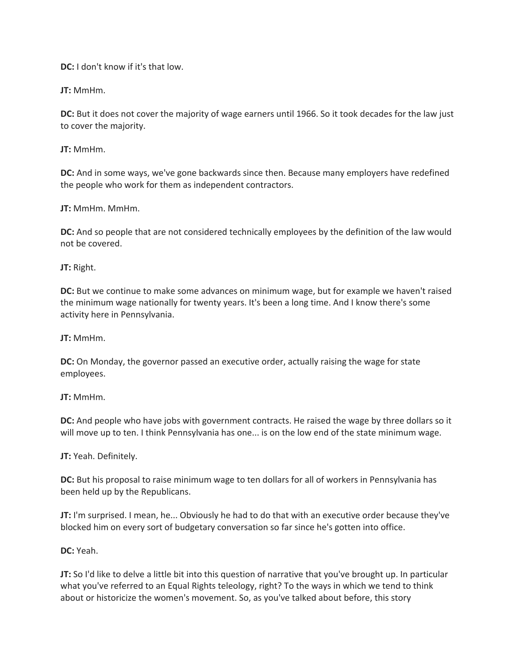**DC:** I don't know if it's that low.

**JT:** MmHm.

**DC:** But it does not cover the majority of wage earners until 1966. So it took decades for the law just to cover the majority.

**JT:** MmHm.

**DC:** And in some ways, we've gone backwards since then. Because many employers have redefined the people who work for them as independent contractors.

**JT:** MmHm. MmHm.

**DC:** And so people that are not considered technically employees by the definition of the law would not be covered.

**JT:** Right.

**DC:** But we continue to make some advances on minimum wage, but for example we haven't raised the minimum wage nationally for twenty years. It's been a long time. And I know there's some activity here in Pennsylvania.

**JT:** MmHm.

**DC:** On Monday, the governor passed an executive order, actually raising the wage for state employees.

**JT:** MmHm.

**DC:** And people who have jobs with government contracts. He raised the wage by three dollars so it will move up to ten. I think Pennsylvania has one... is on the low end of the state minimum wage.

**JT:** Yeah. Definitely.

**DC:** But his proposal to raise minimum wage to ten dollars for all of workers in Pennsylvania has been held up by the Republicans.

**JT:** I'm surprised. I mean, he... Obviously he had to do that with an executive order because they've blocked him on every sort of budgetary conversation so far since he's gotten into office.

**DC:** Yeah.

**JT:** So I'd like to delve a little bit into this question of narrative that you've brought up. In particular what you've referred to an Equal Rights teleology, right? To the ways in which we tend to think about or historicize the women's movement. So, as you've talked about before, this story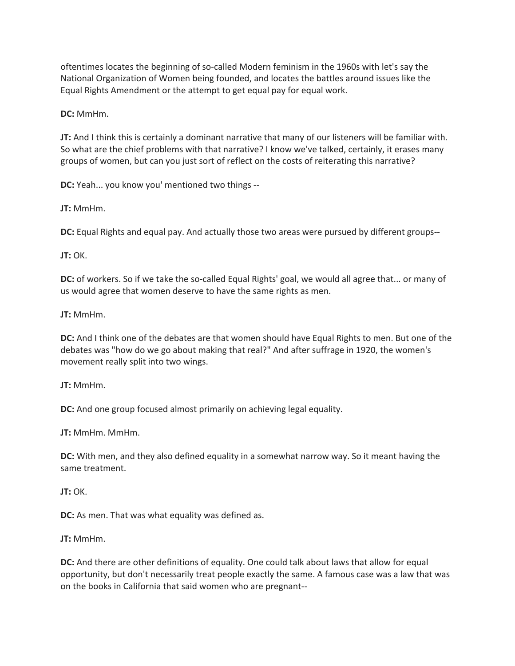oftentimes locates the beginning of so-called Modern feminism in the 1960s with let's say the National Organization of Women being founded, and locates the battles around issues like the Equal Rights Amendment or the attempt to get equal pay for equal work.

**DC:** MmHm.

**JT:** And I think this is certainly a dominant narrative that many of our listeners will be familiar with. So what are the chief problems with that narrative? I know we've talked, certainly, it erases many groups of women, but can you just sort of reflect on the costs of reiterating this narrative?

**DC:** Yeah... you know you' mentioned two things --

**JT:** MmHm.

**DC:** Equal Rights and equal pay. And actually those two areas were pursued by different groups--

**JT:** OK.

**DC:** of workers. So if we take the so-called Equal Rights' goal, we would all agree that... or many of us would agree that women deserve to have the same rights as men.

**JT:** MmHm.

**DC:** And I think one of the debates are that women should have Equal Rights to men. But one of the debates was "how do we go about making that real?" And after suffrage in 1920, the women's movement really split into two wings.

**JT:** MmHm.

**DC:** And one group focused almost primarily on achieving legal equality.

**JT:** MmHm. MmHm.

**DC:** With men, and they also defined equality in a somewhat narrow way. So it meant having the same treatment.

**JT:** OK.

**DC:** As men. That was what equality was defined as.

**JT:** MmHm.

**DC:** And there are other definitions of equality. One could talk about laws that allow for equal opportunity, but don't necessarily treat people exactly the same. A famous case was a law that was on the books in California that said women who are pregnant--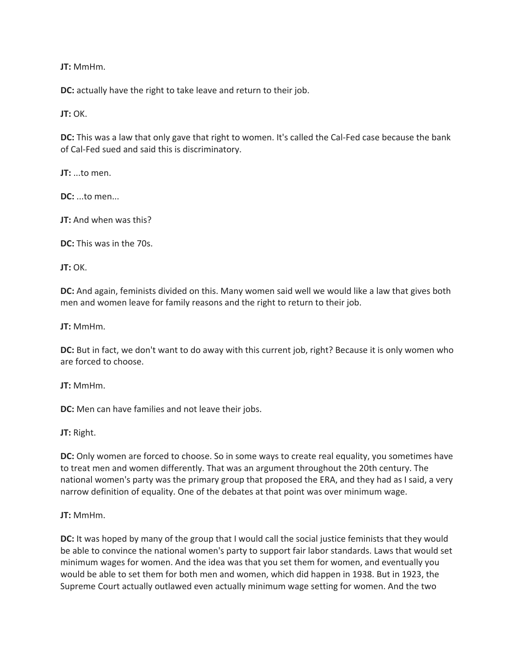**DC:** actually have the right to take leave and return to their job.

**JT:** OK.

**DC:** This was a law that only gave that right to women. It's called the Cal-Fed case because the bank of Cal-Fed sued and said this is discriminatory.

**JT:** ...to men.

**DC:** ...to men...

**JT:** And when was this?

**DC:** This was in the 70s.

**JT:** OK.

**DC:** And again, feminists divided on this. Many women said well we would like a law that gives both men and women leave for family reasons and the right to return to their job.

**JT:** MmHm.

**DC:** But in fact, we don't want to do away with this current job, right? Because it is only women who are forced to choose.

**JT:** MmHm.

**DC:** Men can have families and not leave their jobs.

**JT:** Right.

**DC:** Only women are forced to choose. So in some ways to create real equality, you sometimes have to treat men and women differently. That was an argument throughout the 20th century. The national women's party was the primary group that proposed the ERA, and they had as I said, a very narrow definition of equality. One of the debates at that point was over minimum wage.

**JT:** MmHm.

**DC:** It was hoped by many of the group that I would call the social justice feminists that they would be able to convince the national women's party to support fair labor standards. Laws that would set minimum wages for women. And the idea was that you set them for women, and eventually you would be able to set them for both men and women, which did happen in 1938. But in 1923, the Supreme Court actually outlawed even actually minimum wage setting for women. And the two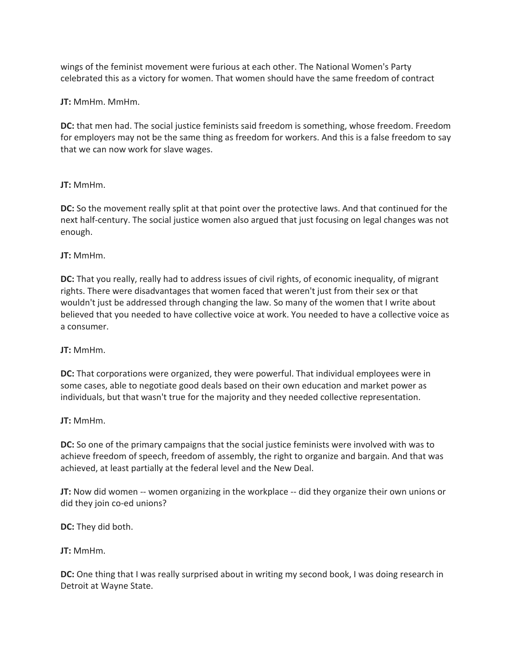wings of the feminist movement were furious at each other. The National Women's Party celebrated this as a victory for women. That women should have the same freedom of contract

**JT:** MmHm. MmHm.

**DC:** that men had. The social justice feminists said freedom is something, whose freedom. Freedom for employers may not be the same thing as freedom for workers. And this is a false freedom to say that we can now work for slave wages.

## **JT:** MmHm.

**DC:** So the movement really split at that point over the protective laws. And that continued for the next half-century. The social justice women also argued that just focusing on legal changes was not enough.

## **JT:** MmHm.

**DC:** That you really, really had to address issues of civil rights, of economic inequality, of migrant rights. There were disadvantages that women faced that weren't just from their sex or that wouldn't just be addressed through changing the law. So many of the women that I write about believed that you needed to have collective voice at work. You needed to have a collective voice as a consumer.

## **JT:** MmHm.

**DC:** That corporations were organized, they were powerful. That individual employees were in some cases, able to negotiate good deals based on their own education and market power as individuals, but that wasn't true for the majority and they needed collective representation.

## **JT:** MmHm.

**DC:** So one of the primary campaigns that the social justice feminists were involved with was to achieve freedom of speech, freedom of assembly, the right to organize and bargain. And that was achieved, at least partially at the federal level and the New Deal.

**JT:** Now did women -- women organizing in the workplace -- did they organize their own unions or did they join co-ed unions?

**DC:** They did both.

## **JT:** MmHm.

**DC:** One thing that I was really surprised about in writing my second book, I was doing research in Detroit at Wayne State.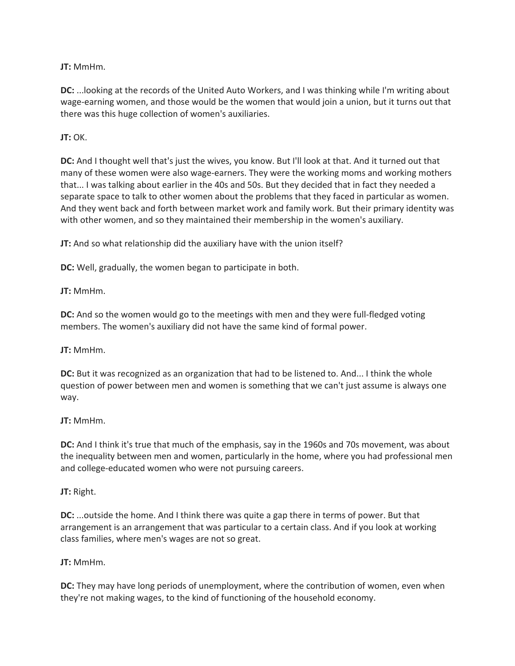**DC:** ...looking at the records of the United Auto Workers, and I was thinking while I'm writing about wage-earning women, and those would be the women that would join a union, but it turns out that there was this huge collection of women's auxiliaries.

**JT:** OK.

**DC:** And I thought well that's just the wives, you know. But I'll look at that. And it turned out that many of these women were also wage-earners. They were the working moms and working mothers that... I was talking about earlier in the 40s and 50s. But they decided that in fact they needed a separate space to talk to other women about the problems that they faced in particular as women. And they went back and forth between market work and family work. But their primary identity was with other women, and so they maintained their membership in the women's auxiliary.

**JT:** And so what relationship did the auxiliary have with the union itself?

**DC:** Well, gradually, the women began to participate in both.

**JT:** MmHm.

**DC:** And so the women would go to the meetings with men and they were full-fledged voting members. The women's auxiliary did not have the same kind of formal power.

**JT:** MmHm.

**DC:** But it was recognized as an organization that had to be listened to. And... I think the whole question of power between men and women is something that we can't just assume is always one way.

**JT:** MmHm.

**DC:** And I think it's true that much of the emphasis, say in the 1960s and 70s movement, was about the inequality between men and women, particularly in the home, where you had professional men and college-educated women who were not pursuing careers.

**JT:** Right.

**DC:** ...outside the home. And I think there was quite a gap there in terms of power. But that arrangement is an arrangement that was particular to a certain class. And if you look at working class families, where men's wages are not so great.

**JT:** MmHm.

**DC:** They may have long periods of unemployment, where the contribution of women, even when they're not making wages, to the kind of functioning of the household economy.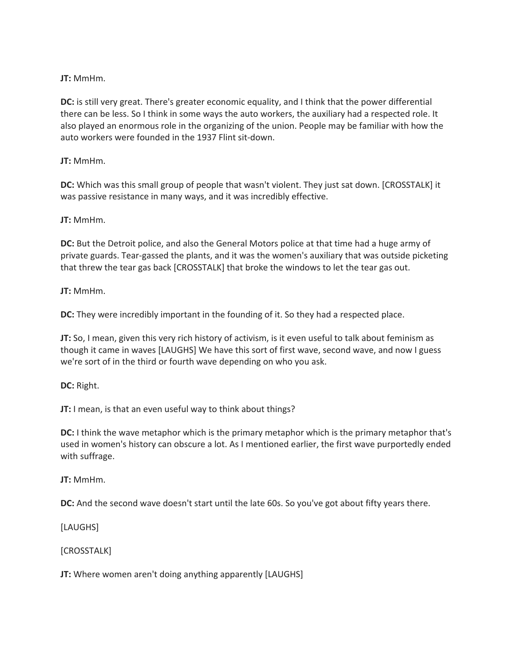**DC:** is still very great. There's greater economic equality, and I think that the power differential there can be less. So I think in some ways the auto workers, the auxiliary had a respected role. It also played an enormous role in the organizing of the union. People may be familiar with how the auto workers were founded in the 1937 Flint sit-down.

## **JT:** MmHm.

**DC:** Which was this small group of people that wasn't violent. They just sat down. [CROSSTALK] it was passive resistance in many ways, and it was incredibly effective.

## **JT:** MmHm.

**DC:** But the Detroit police, and also the General Motors police at that time had a huge army of private guards. Tear-gassed the plants, and it was the women's auxiliary that was outside picketing that threw the tear gas back [CROSSTALK] that broke the windows to let the tear gas out.

#### **JT:** MmHm.

**DC:** They were incredibly important in the founding of it. So they had a respected place.

**JT:** So, I mean, given this very rich history of activism, is it even useful to talk about feminism as though it came in waves [LAUGHS] We have this sort of first wave, second wave, and now I guess we're sort of in the third or fourth wave depending on who you ask.

**DC:** Right.

**JT:** I mean, is that an even useful way to think about things?

**DC:** I think the wave metaphor which is the primary metaphor which is the primary metaphor that's used in women's history can obscure a lot. As I mentioned earlier, the first wave purportedly ended with suffrage.

**JT:** MmHm.

**DC:** And the second wave doesn't start until the late 60s. So you've got about fifty years there.

[LAUGHS]

[CROSSTALK]

**JT:** Where women aren't doing anything apparently [LAUGHS]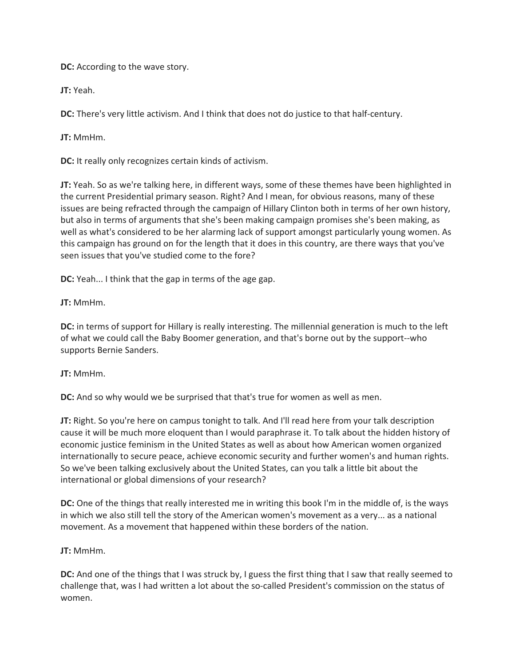**DC:** According to the wave story.

**JT:** Yeah.

**DC:** There's very little activism. And I think that does not do justice to that half-century.

**JT:** MmHm.

**DC:** It really only recognizes certain kinds of activism.

**JT:** Yeah. So as we're talking here, in different ways, some of these themes have been highlighted in the current Presidential primary season. Right? And I mean, for obvious reasons, many of these issues are being refracted through the campaign of Hillary Clinton both in terms of her own history, but also in terms of arguments that she's been making campaign promises she's been making, as well as what's considered to be her alarming lack of support amongst particularly young women. As this campaign has ground on for the length that it does in this country, are there ways that you've seen issues that you've studied come to the fore?

**DC:** Yeah... I think that the gap in terms of the age gap.

**JT:** MmHm.

**DC:** in terms of support for Hillary is really interesting. The millennial generation is much to the left of what we could call the Baby Boomer generation, and that's borne out by the support--who supports Bernie Sanders.

## **JT:** MmHm.

**DC:** And so why would we be surprised that that's true for women as well as men.

**JT:** Right. So you're here on campus tonight to talk. And I'll read here from your talk description cause it will be much more eloquent than I would paraphrase it. To talk about the hidden history of economic justice feminism in the United States as well as about how American women organized internationally to secure peace, achieve economic security and further women's and human rights. So we've been talking exclusively about the United States, can you talk a little bit about the international or global dimensions of your research?

**DC:** One of the things that really interested me in writing this book I'm in the middle of, is the ways in which we also still tell the story of the American women's movement as a very... as a national movement. As a movement that happened within these borders of the nation.

## **JT:** MmHm.

**DC:** And one of the things that I was struck by, I guess the first thing that I saw that really seemed to challenge that, was I had written a lot about the so-called President's commission on the status of women.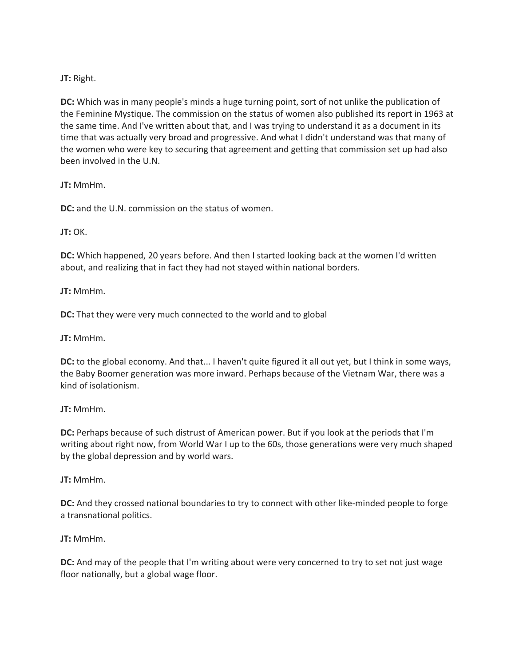## **JT:** Right.

**DC:** Which was in many people's minds a huge turning point, sort of not unlike the publication of the Feminine Mystique. The commission on the status of women also published its report in 1963 at the same time. And I've written about that, and I was trying to understand it as a document in its time that was actually very broad and progressive. And what I didn't understand was that many of the women who were key to securing that agreement and getting that commission set up had also been involved in the U.N.

**JT:** MmHm.

**DC:** and the U.N. commission on the status of women.

**JT:** OK.

**DC:** Which happened, 20 years before. And then I started looking back at the women I'd written about, and realizing that in fact they had not stayed within national borders.

**JT:** MmHm.

**DC:** That they were very much connected to the world and to global

**JT:** MmHm.

**DC:** to the global economy. And that... I haven't quite figured it all out yet, but I think in some ways, the Baby Boomer generation was more inward. Perhaps because of the Vietnam War, there was a kind of isolationism.

**JT:** MmHm.

**DC:** Perhaps because of such distrust of American power. But if you look at the periods that I'm writing about right now, from World War I up to the 60s, those generations were very much shaped by the global depression and by world wars.

**JT:** MmHm.

**DC:** And they crossed national boundaries to try to connect with other like-minded people to forge a transnational politics.

**JT:** MmHm.

**DC:** And may of the people that I'm writing about were very concerned to try to set not just wage floor nationally, but a global wage floor.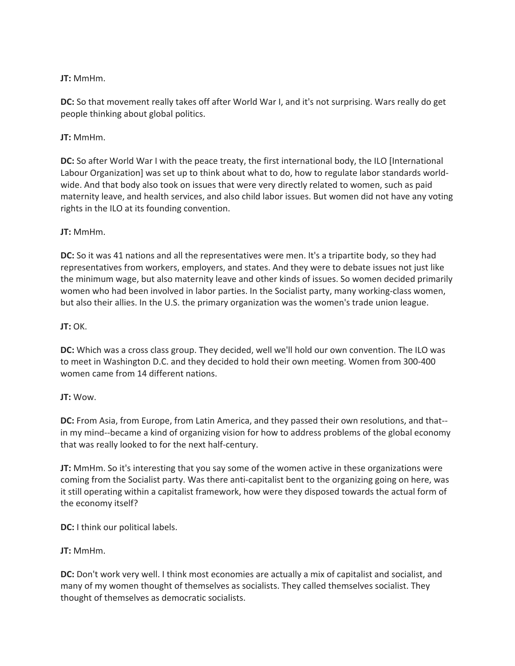**DC:** So that movement really takes off after World War I, and it's not surprising. Wars really do get people thinking about global politics.

## **JT:** MmHm.

**DC:** So after World War I with the peace treaty, the first international body, the ILO [International Labour Organization] was set up to think about what to do, how to regulate labor standards worldwide. And that body also took on issues that were very directly related to women, such as paid maternity leave, and health services, and also child labor issues. But women did not have any voting rights in the ILO at its founding convention.

## **JT:** MmHm.

**DC:** So it was 41 nations and all the representatives were men. It's a tripartite body, so they had representatives from workers, employers, and states. And they were to debate issues not just like the minimum wage, but also maternity leave and other kinds of issues. So women decided primarily women who had been involved in labor parties. In the Socialist party, many working-class women, but also their allies. In the U.S. the primary organization was the women's trade union league.

## **JT:** OK.

**DC:** Which was a cross class group. They decided, well we'll hold our own convention. The ILO was to meet in Washington D.C. and they decided to hold their own meeting. Women from 300-400 women came from 14 different nations.

## **JT:** Wow.

**DC:** From Asia, from Europe, from Latin America, and they passed their own resolutions, and that- in my mind--became a kind of organizing vision for how to address problems of the global economy that was really looked to for the next half-century.

**JT:** MmHm. So it's interesting that you say some of the women active in these organizations were coming from the Socialist party. Was there anti-capitalist bent to the organizing going on here, was it still operating within a capitalist framework, how were they disposed towards the actual form of the economy itself?

**DC:** I think our political labels.

## **JT:** MmHm.

**DC:** Don't work very well. I think most economies are actually a mix of capitalist and socialist, and many of my women thought of themselves as socialists. They called themselves socialist. They thought of themselves as democratic socialists.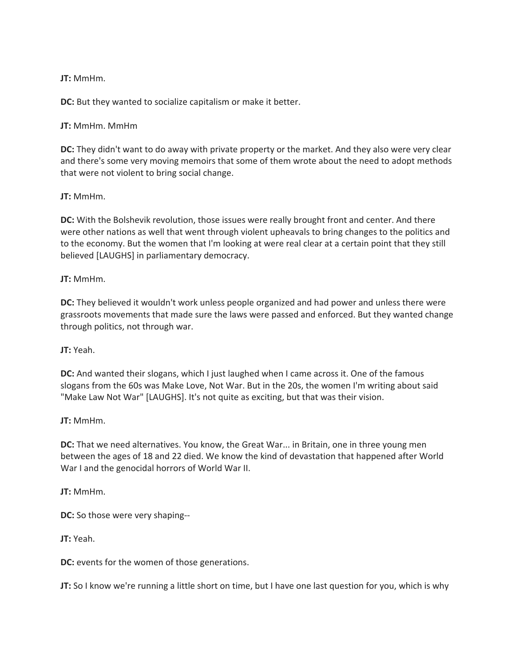**DC:** But they wanted to socialize capitalism or make it better.

**JT:** MmHm. MmHm

**DC:** They didn't want to do away with private property or the market. And they also were very clear and there's some very moving memoirs that some of them wrote about the need to adopt methods that were not violent to bring social change.

**JT:** MmHm.

**DC:** With the Bolshevik revolution, those issues were really brought front and center. And there were other nations as well that went through violent upheavals to bring changes to the politics and to the economy. But the women that I'm looking at were real clear at a certain point that they still believed [LAUGHS] in parliamentary democracy.

**JT:** MmHm.

**DC:** They believed it wouldn't work unless people organized and had power and unless there were grassroots movements that made sure the laws were passed and enforced. But they wanted change through politics, not through war.

**JT:** Yeah.

**DC:** And wanted their slogans, which I just laughed when I came across it. One of the famous slogans from the 60s was Make Love, Not War. But in the 20s, the women I'm writing about said "Make Law Not War" [LAUGHS]. It's not quite as exciting, but that was their vision.

**JT:** MmHm.

**DC:** That we need alternatives. You know, the Great War... in Britain, one in three young men between the ages of 18 and 22 died. We know the kind of devastation that happened after World War I and the genocidal horrors of World War II.

**JT:** MmHm.

**DC:** So those were very shaping--

**JT:** Yeah.

**DC:** events for the women of those generations.

**JT:** So I know we're running a little short on time, but I have one last question for you, which is why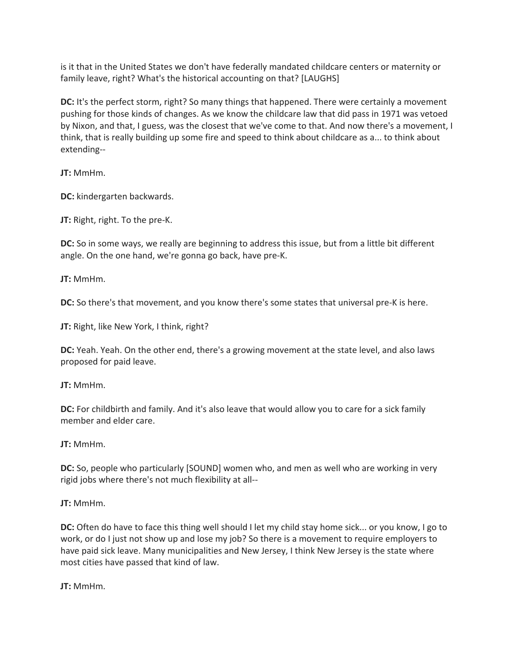is it that in the United States we don't have federally mandated childcare centers or maternity or family leave, right? What's the historical accounting on that? [LAUGHS]

**DC:** It's the perfect storm, right? So many things that happened. There were certainly a movement pushing for those kinds of changes. As we know the childcare law that did pass in 1971 was vetoed by Nixon, and that, I guess, was the closest that we've come to that. And now there's a movement, I think, that is really building up some fire and speed to think about childcare as a... to think about extending--

**JT:** MmHm.

**DC:** kindergarten backwards.

**JT:** Right, right. To the pre-K.

**DC:** So in some ways, we really are beginning to address this issue, but from a little bit different angle. On the one hand, we're gonna go back, have pre-K.

**JT:** MmHm.

**DC:** So there's that movement, and you know there's some states that universal pre-K is here.

**JT:** Right, like New York, I think, right?

**DC:** Yeah. Yeah. On the other end, there's a growing movement at the state level, and also laws proposed for paid leave.

**JT:** MmHm.

**DC:** For childbirth and family. And it's also leave that would allow you to care for a sick family member and elder care.

**JT:** MmHm.

**DC:** So, people who particularly [SOUND] women who, and men as well who are working in very rigid jobs where there's not much flexibility at all--

**JT:** MmHm.

**DC:** Often do have to face this thing well should I let my child stay home sick... or you know, I go to work, or do I just not show up and lose my job? So there is a movement to require employers to have paid sick leave. Many municipalities and New Jersey, I think New Jersey is the state where most cities have passed that kind of law.

**JT:** MmHm.